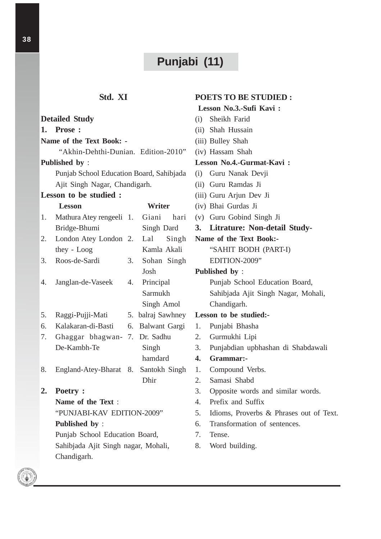# **Punjabi (11)**

**POETS TO BE STUDIED : Lesson No.3.-Sufi Kavi :**

# **Std. XI**

#### **Detailed Study 1. Prose : Name of the Text Book: -** "Akhin-Dehthi-Dunian. Edition-2010" **Published by** : Punjab School Education Board, Sahibjada Ajit Singh Nagar, Chandigarh. **Lesson to be studied : Lesson Writer** 1. Mathura Atey rengeeli Bridge-Bhumi 2. London Atey London they - Loog 3. Roos-de-Sardi 4. Janglan-de-Vaseek 5. Raggi-Pujji-Mati 6. Kalakaran-di-Basti 7. Ghaggar bhagwan-7. Dr. Sadhu De-Kambh-Te 8. England-Atey-Bharat 8. Santokh Singh **2. Poetry : Name of the Text** : "PUNJABI-KAV EDITION-2009" **Published by** : Punjab School Education Board, Sahibjada Ajit Singh nagar, Mohali, Chandigarh. (i) Sheikh Farid (ii) Shah Hussain (iii) Bulley Shah (iv) Hassam Shah **Lesson No.4.-Gurmat-Kavi :** (i) Guru Nanak Devji (ii) Guru Ramdas Ji (iii) Guru Arjun Dev Ji (iv) Bhai Gurdas Ji (v) Guru Gobind Singh Ji **3. Litrature: Non-detail Study-Name of the Text Book:-** "SAHIT BODH (PART-I) EDITION-2009" **Published by** : Punjab School Education Board, Sahibjada Ajit Singh Nagar, Mohali, Chandigarh. **Lesson to be studied:-** 1. Punjabi Bhasha 2. Gurmukhi Lipi 3. Punjabdian upbhashan di Shabdawali **4. Grammar:-** 1. Compound Verbs. 2. Samasi Shabd 3. Opposite words and similar words. 4. Prefix and Suffix 5. Idioms, Proverbs & Phrases out of Text. 6. Transformation of sentences. 7. Tense. 8. Word building. Giani hari Singh Dard Lal Singh Kamla Akali 3. Sohan Singh Josh 4. Principal Sarmukh Singh Amol 5. balraj Sawhney 6. Balwant Gargi Singh hamdard Dhir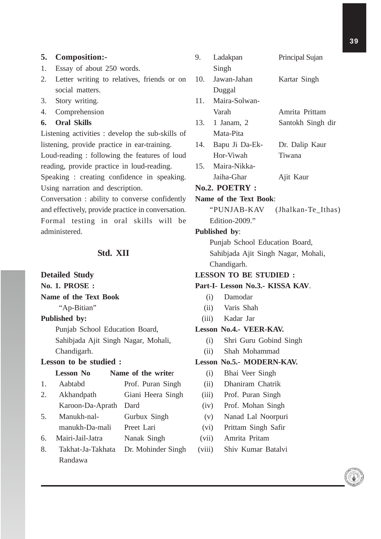## **5. Composition:-**

- 1. Essay of about 250 words.
- 2. Letter writing to relatives, friends or on social matters.
- 3. Story writing.
- 4. Comprehension

## **6. Oral Skills**

Listening activities : develop the sub-skills of listening, provide practice in ear-training. Loud-reading : following the features of loud reading, provide practice in loud-reading. Speaking : creating confidence in speaking.

Using narration and description.

Conversation : ability to converse confidently and effectively, provide practice in conversation. Formal testing in oral skills will be administered.

# **Std. XII**

### **Detailed Study**

# **No. 1. PROSE :**

**Name of the Text Book**

"Ap-Bitian"

# **Published by:**

Punjab School Education Board, Sahibjada Ajit Singh Nagar, Mohali, Chandigarh.

# **Lesson to be studied :**

# Lesson No Name of the writer

- 1. Aabtabd Prof. Puran Singh
- 2. Akhandpath Giani Heera Singh Karoon-Da-Aprath Dard
- 5. Manukh-nal- Gurbux Singh
- manukh-Da-mali Preet Lari
- 6. Mairi-Jail-Jatra Nanak Singh
- 8. Takhat-Ja-Takhata Dr. Mohinder Singh Randawa

|  | 9.                                          | Ladakpan                            | Principal Sujan                |  |
|--|---------------------------------------------|-------------------------------------|--------------------------------|--|
|  |                                             | Singh                               |                                |  |
|  |                                             | 10. Jawan-Jahan                     | Kartar Singh                   |  |
|  |                                             | Duggal                              |                                |  |
|  |                                             | 11. Maira-Solwan-                   |                                |  |
|  |                                             | Varah                               | Amrita Prittam                 |  |
|  |                                             | 13. 1 Janam, 2                      | Santokh Singh dir              |  |
|  |                                             | Mata-Pita                           |                                |  |
|  | 14.                                         | Bapu Ji Da-Ek-                      | Dr. Dalip Kaur                 |  |
|  |                                             | Hor-Viwah                           | Tiwana                         |  |
|  |                                             | 15. Maira-Nikka-                    |                                |  |
|  |                                             | Jaiha-Ghar                          | Ajit Kaur                      |  |
|  | <b>No.2. POETRY:</b>                        |                                     |                                |  |
|  | <b>Name of the Text Book:</b>               |                                     |                                |  |
|  |                                             |                                     | "PUNJAB-KAV (Jhalkan-Te_Ithas) |  |
|  | Edition-2009."                              |                                     |                                |  |
|  |                                             | Published by:                       |                                |  |
|  | Punjab School Education Board,              |                                     |                                |  |
|  |                                             | Sahibjada Ajit Singh Nagar, Mohali, |                                |  |
|  | Chandigarh.<br><b>LESSON TO BE STUDIED:</b> |                                     |                                |  |
|  |                                             |                                     |                                |  |
|  | Part-I- Lesson No.3.- KISSA KAV.            |                                     |                                |  |
|  |                                             | (i) Damodar                         |                                |  |
|  |                                             | (ii) Varis Shah                     |                                |  |
|  |                                             | (iii) Kadar Jar                     |                                |  |
|  | <b>Lesson No.4.- VEER-KAV.</b>              |                                     |                                |  |
|  |                                             | (i) Shri Guru Gobind Singh          |                                |  |
|  |                                             | (ii)<br>Shah Mohammad               |                                |  |
|  | <b>Lesson No.5.- MODERN-KAV.</b>            |                                     |                                |  |
|  |                                             | (i)<br>Bhai Veer Singh              |                                |  |
|  | (ii)<br>Dhaniram Chatrik                    |                                     |                                |  |
|  | (iii)                                       | Prof. Puran Singh                   |                                |  |
|  |                                             | (iv)<br>Prof. Mohan Singh           |                                |  |
|  | (v)<br>Nanad Lal Noorpuri                   |                                     |                                |  |
|  |                                             | (vi)<br>Prittam Singh Safir         |                                |  |
|  |                                             | (vii)<br>Amrita Pritam              |                                |  |
|  | (viii)                                      | Shiv Kumar Batalvi                  |                                |  |